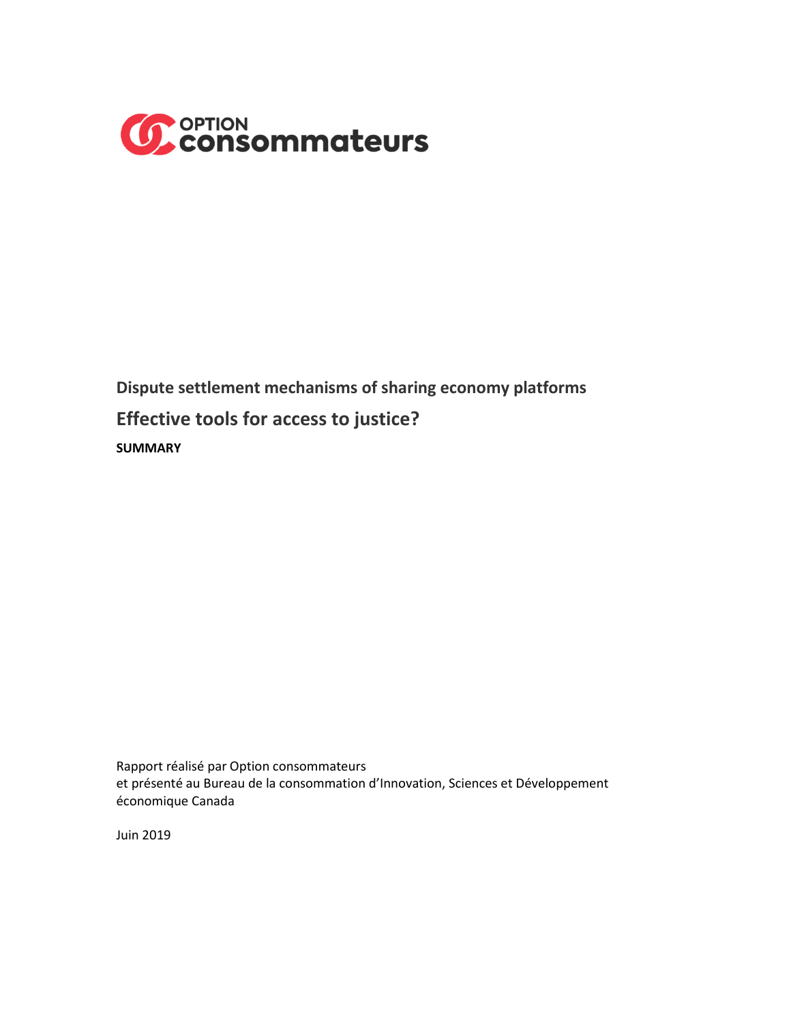

**Dispute settlement mechanisms of sharing economy platforms Effective tools for access to justice? SUMMARY**

Rapport réalisé par Option consommateurs et présenté au Bureau de la consommation d'Innovation, Sciences et Développement économique Canada

Juin 2019